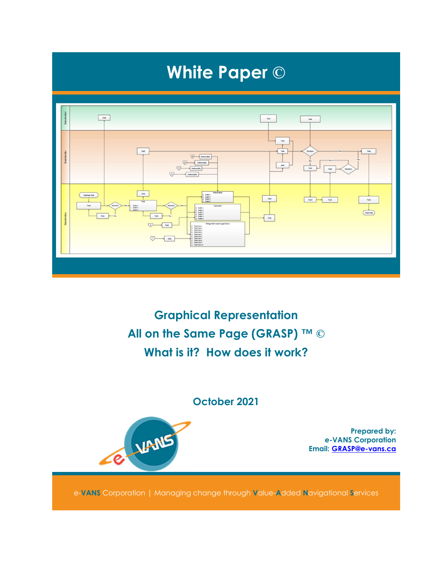

Graphical Representation All on the Same Page (GRASP) ™ © What is it? How does it work?

#### October 2021



Prepared by: e-VANS Corporation Email: GRASP@e-vans.ca

e-VANS Corporation | Managing change through Value-Added Navigational Services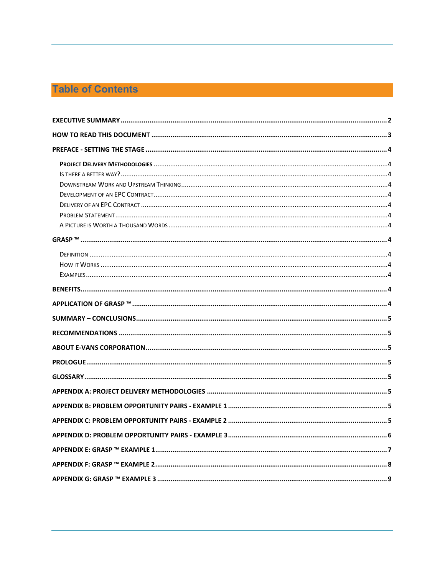## **Table of Contents**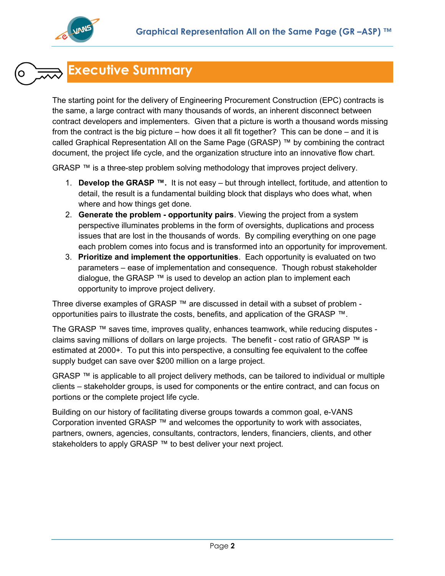

# Executive Summary

The starting point for the delivery of Engineering Procurement Construction (EPC) contracts is the same, a large contract with many thousands of words, an inherent disconnect between contract developers and implementers. Given that a picture is worth a thousand words missing from the contract is the big picture – how does it all fit together? This can be done – and it is called Graphical Representation All on the Same Page (GRASP) ™ by combining the contract document, the project life cycle, and the organization structure into an innovative flow chart.

GRASP ™ is a three-step problem solving methodology that improves project delivery.

- 1. Develop the GRASP ™. It is not easy but through intellect, fortitude, and attention to detail, the result is a fundamental building block that displays who does what, when where and how things get done.
- 2. Generate the problem opportunity pairs. Viewing the project from a system perspective illuminates problems in the form of oversights, duplications and process issues that are lost in the thousands of words. By compiling everything on one page each problem comes into focus and is transformed into an opportunity for improvement.
- 3. Prioritize and implement the opportunities. Each opportunity is evaluated on two parameters – ease of implementation and consequence. Though robust stakeholder dialogue, the GRASP  $TM$  is used to develop an action plan to implement each opportunity to improve project delivery.

Three diverse examples of GRASP  $\mathbb{M}$  are discussed in detail with a subset of problem opportunities pairs to illustrate the costs, benefits, and application of the GRASP ™.

The GRASP ™ saves time, improves quality, enhances teamwork, while reducing disputes claims saving millions of dollars on large projects. The benefit - cost ratio of GRASP ™ is estimated at 2000+. To put this into perspective, a consulting fee equivalent to the coffee supply budget can save over \$200 million on a large project.

GRASP ™ is applicable to all project delivery methods, can be tailored to individual or multiple clients – stakeholder groups, is used for components or the entire contract, and can focus on portions or the complete project life cycle.

Building on our history of facilitating diverse groups towards a common goal, e-VANS Corporation invented GRASP ™ and welcomes the opportunity to work with associates, partners, owners, agencies, consultants, contractors, lenders, financiers, clients, and other stakeholders to apply GRASP ™ to best deliver your next project.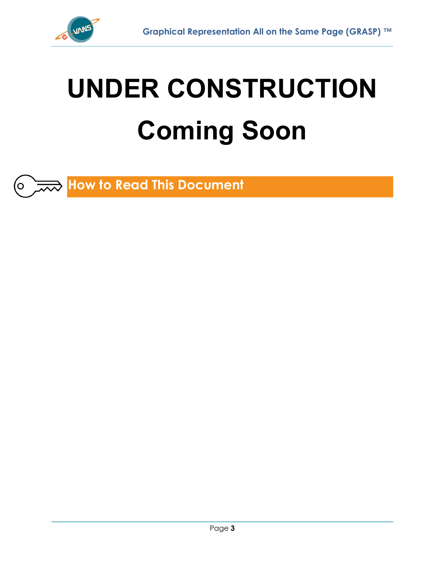

O |

# UNDER CONSTRUCTION Coming Soon

How to Read This Document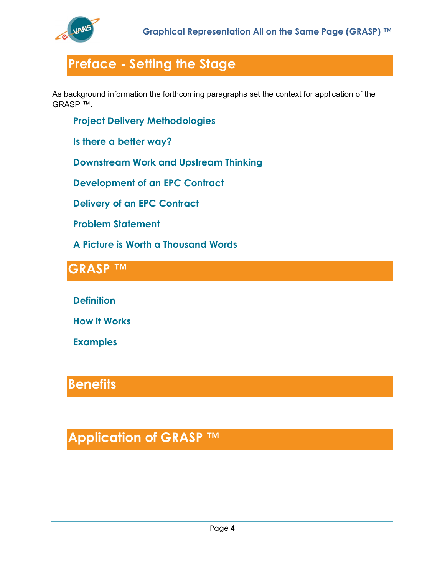

# Preface - Setting the Stage

As background information the forthcoming paragraphs set the context for application of the GRASP ™.

Project Delivery Methodologies

Is there a better way?

Downstream Work and Upstream Thinking

Development of an EPC Contract

Delivery of an EPC Contract

Problem Statement

A Picture is Worth a Thousand Words

## GRASP TM

**Definition** 

How it Works

Examples

## **Benefits**

# Application of GRASP ™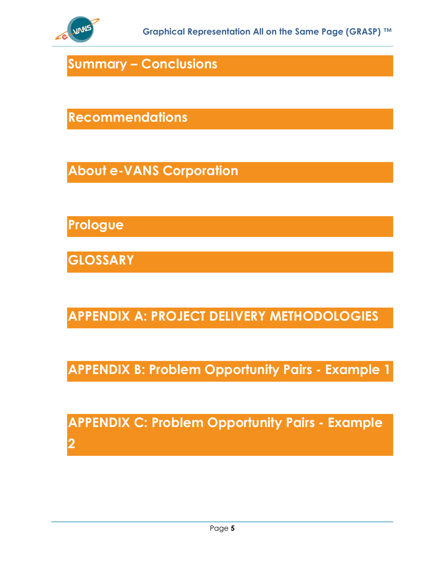

Summary – Conclusions

Recommendations

About e-VANS Corporation

Prologue

**GLOSSARY** 

APPENDIX A: PROJECT DELIVERY METHODOLOGIES

APPENDIX B: Problem Opportunity Pairs - Example 1

APPENDIX C: Problem Opportunity Pairs - Example 2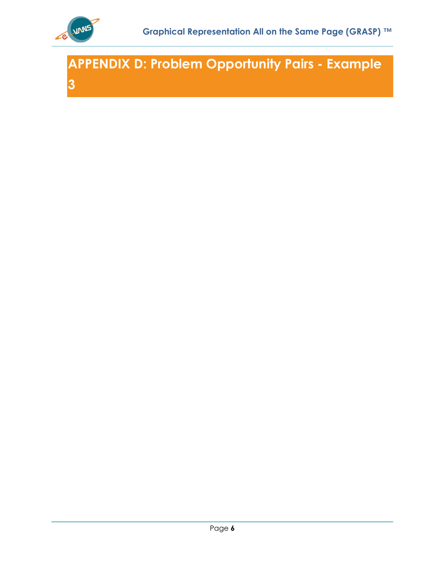

APPENDIX D: Problem Opportunity Pairs - Example 3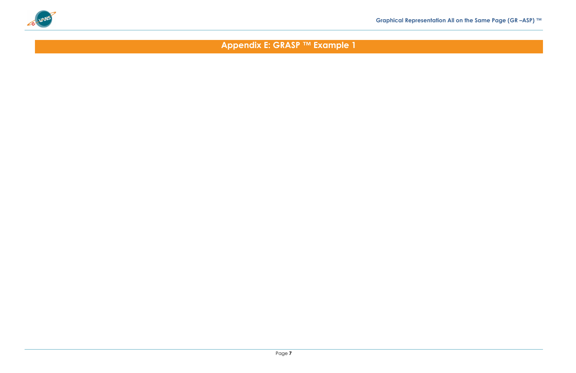

Appendix E: GRASP ™ Example 1

## Graphical Representation All on the Same Page (GR –ASP) ™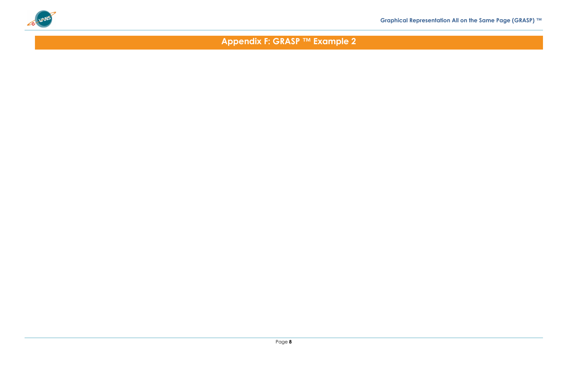

Appendix F: GRASP ™ Example 2

## Graphical Representation All on the Same Page (GRASP) ™